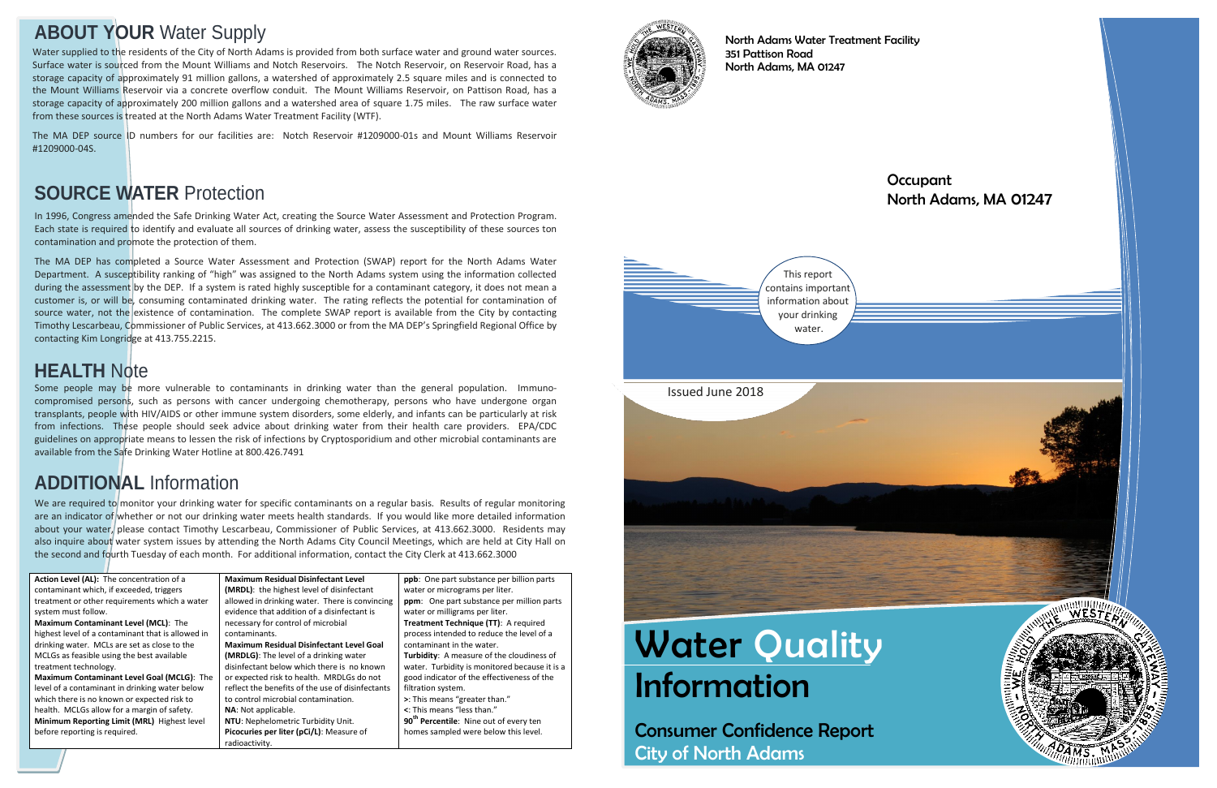# **Water Quality** Information

Consumer Confidence Report City of North Adams

#### **Occupant** North Adams, MA 01247



North Adams Water Treatment Facility 351 Pattison Road North Adams, MA 01247

## **ABOUT YOUR** Water Supply

In 1996, Congress amended the Safe Drinking Water Act, creating the Source Water Assessment and Protection Program. Each state is required to identify and evaluate all sources of drinking water, assess the susceptibility of these sources ton contamination and promote the protection of them.

The MA DEP has completed a Source Water Assessment and Protection (SWAP) report for the North Adams Water Department. A susceptibility ranking of "high" was assigned to the North Adams system using the information collected during the assessment by the DEP. If a system is rated highly susceptible for a contaminant category, it does not mean a customer is, or will be, consuming contaminated drinking water. The rating reflects the potential for contamination of source water, not the existence of contamination. The complete SWAP report is available from the City by contacting Timothy Lescarbeau, Commissioner of Public Services, at 413.662.3000 or from the MA DEP's Springfield Regional Office by contacting Kim Longridge at 413.755.2215.

We are required to monitor your drinking water for specific contaminants on a regular basis. Results of regular monitoring are an indicator of whether or not our drinking water meets health standards. If you would like more detailed information about your water, please contact Timothy Lescarbeau, Commissioner of Public Services, at 413.662.3000. Residents may also inquire about water system issues by attending the North Adams City Council Meetings, which are held at City Hall on the second and fourth Tuesday of each month. For additional information, contact the City Clerk at 413.662.3000

## **SOURCE WATER** Protection

**Action Level (AL):** The concentration of a contaminant which, if exceeded, triggers treatment or other requirements which a water system must follow. **Maximum Contaminant Level (MCL)**: The highest level of a contaminant that is allowed in drinking water. MCLs are set as close to the MCLGs as feasible using the best available treatment technology. **Maximum Contaminant Level Goal (MCLG)**: The level of a contaminant in drinking water below which there is no known or expected risk to health. MCLGs allow for a margin of safety. **Minimum Reporting Limit (MRL)** Highest level before reporting is required.



**Maximum Residual Disinfectant Level (MRDL)**: the highest level of disinfectant allowed in drinking water. There is convincing evidence that addition of a disinfectant is necessary for control of microbial contaminants. **Maximum Residual Disinfectant Level Goal (MRDLG)**: The level of a drinking water disinfectant below which there is no known or expected risk to health. MRDLGs do not reflect the benefits of the use of disinfectants to control microbial contamination. **NA**: Not applicable.

**NTU**: Nephelometric Turbidity Unit. **Picocuries per liter (pCi/L)**: Measure of radioactivity.

**ppb**: One part substance per billion parts water or micrograms per liter. **ppm**: One part substance per million parts water or milligrams per liter. **Treatment Technique (TT)**: A required process intended to reduce the level of a contaminant in the water. **Turbidity**: A measure of the cloudiness of water. Turbidity is monitored because it is a good indicator of the effectiveness of the filtration system. **>**: This means "greater than." **<**: This means "less than." **90 th Percentile**: Nine out of every ten homes sampled were below this level.



## **ADDITIONAL** Information

Some people may be more vulnerable to contaminants in drinking water than the general population. Immunocompromised persons, such as persons with cancer undergoing chemotherapy, persons who have undergone organ transplants, people with HIV/AIDS or other immune system disorders, some elderly, and infants can be particularly at risk from infections. These people should seek advice about drinking water from their health care providers. EPA/CDC guidelines on appropriate means to lessen the risk of infections by Cryptosporidium and other microbial contaminants are available from the Safe Drinking Water Hotline at 800.426.7491

## **HEALTH** Note

Water supplied to the residents of the City of North Adams is provided from both surface water and ground water sources. Surface water is sourced from the Mount Williams and Notch Reservoirs. The Notch Reservoir, on Reservoir Road, has a storage capacity of approximately 91 million gallons, a watershed of approximately 2.5 square miles and is connected to the Mount Williams Reservoir via a concrete overflow conduit. The Mount Williams Reservoir, on Pattison Road, has a storage capacity of approximately 200 million gallons and a watershed area of square 1.75 miles. The raw surface water from these sources is treated at the North Adams Water Treatment Facility (WTF).

The MA DEP source ID numbers for our facilities are: Notch Reservoir #1209000-01s and Mount Williams Reservoir #1209000-04S.